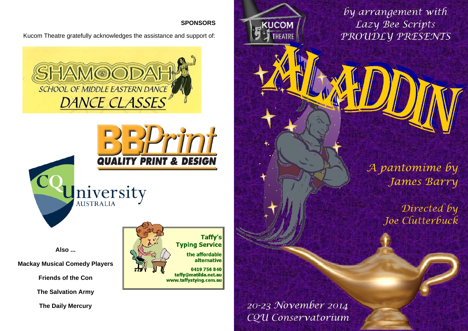by arrangement with Lazy Bee Scripts PROUDLY PRESENTS

> A pantomime by James Barry

> > Directed by Joe Clutterbuck

**SPONSORS** 

Kucom Theatre gratefully acknowledges the assistance and support of:





**Also ...** 

**Mackay Musical Comedy Players** 

**Friends of the Con** 

**The Salvation Army** 

**The Daily Mercury** 



20-23 November 2014 CQU Conservatoríum

**KUCOM** 

**THE ATRE**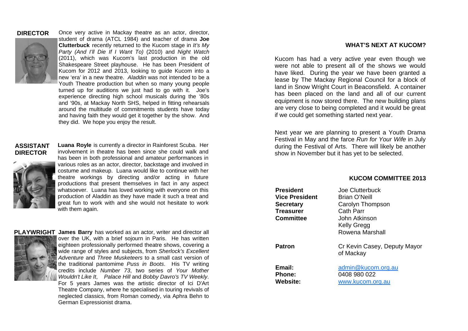### **DIRECTOR**



Once very active in Mackay theatre as an actor, director, student of drama (ATCL 1984) and teacher of drama **Joe Clutterbuck** recently returned to the Kucom stage in *It's My Party (And I'll Die If I Want To)* (2010) and *Night Watch* (2011), which was Kucom's last production in the old Shakespeare Street playhouse. He has been President of Kucom for 2012 and 2013, looking to guide Kucom into a new 'era' in a new theatre. *Aladdin* was not intended to be a Youth Theatre production but when so many young people turned up for auditions we just had to go with it. Joe's experience directing high school musicals during the '80s and '90s, at Mackay North SHS, helped in fitting rehearsals around the multitude of commitments students have today and having faith they would get it together by the show. And they did. We hope you enjoy the result.

### **ASSISTANT DIRECTOR**



**Luana Royle** is currently a director in Rainforest Scuba. Her involvement in theatre has been since she could walk and has been in both professional and amateur performances in various roles as an actor, director, backstage and involved in costume and makeup. Luana would like to continue with her theatre workings by directing and/or acting in future productions that present themselves in fact in any aspect whatsoever. Luana has loved working with everyone on this production of Aladdin as they have made it such a treat and great fun to work with and she would not hesitate to work with them again.





over the UK, with a brief sojourn in Paris. He has written eighteen professionally performed theatre shows, covering a wide range of styles and subjects, from *Sherlock's Excellent Adventure* and *Three Musketeers* to a small cast version of the traditional pantomime *Puss in Boots*. His TV writing credits include *Number 73*, two series of *Your Mother Wouldn't Like It*, *Palace Hill* and *Bobby Davro's TV Weekly*. For 5 years James was the artistic director of Ici D'Art Theatre Company, where he specialised in touring revivals of neglected classics, from Roman comedy, via Aphra Behn to German Expressionist drama.

### **WHAT'S NEXT AT KUCOM?**

Kucom has had a very active year even though we were not able to present all of the shows we would have liked. During the year we have been granted a lease by The Mackay Regional Council for a block of land in Snow Wright Court in Beaconsfield. A container has been placed on the land and all of our current equipment is now stored there. The new building plans are very close to being completed and it would be great if we could get something started next year.

Next year we are planning to present a Youth Drama Festival in May and the farce *Run for Your Wife* in July during the Festival of Arts. There will likely be another show in November but it has yet to be selected.

# **President** Joe Clutterbuck **Vice President Brian O'Neill Secretary** Carolyn Thompson **Treasurer** Cath Parr **Committee** John Atkinson Kelly Gregg Rowena Marshall **Patron Cr Kevin Casey, Deputy Mayor**  of Mackay **Email:** admin@kucom.org.au **Phone:** 0408 980 022 **Website:** www.kucom.org.au

### **KUCOM COMMITTEE 2013**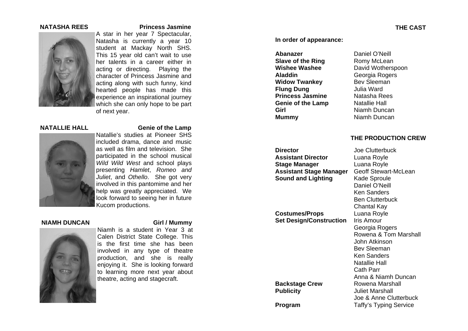

**NATASHA REES** Princess Jasmine

A star in her year 7 Spectacular, Natasha is currently a year 10 student at Mackay North SHS. This 15 year old can't wait to use her talents in a career either in acting or directing. Playing the character of Princess Jasmine and acting along with such funny, kind hearted people has made this experience an inspirational journey which she can only hope to be part of next year.

### **NATALLIE HALL Genie of the Lamp**



Natallie's studies at Pioneer SHS included drama, dance and music as well as film and television. She participated in the school musical *Wild Wild West* and school plays presenting *Hamlet*, *Romeo and Juliet*, and *Othello*. She got very involved in this pantomime and her help was greatly appreciated. We look forward to seeing her in future Kucom productions.

### **NIAMH DUNCAN Girl / Mummy**



Niamh is a student in Year 3 at Calen District State College. This is the first time she has been involved in any type of theatre production, and she is really enjoying it. She is looking forward to learning more next year about theatre, acting and stagecraft.

**In order of appearance:** 

**Abanazer** Daniel O'Neill **Slave of the Ring <b>Romy McLean Wishee Washee** David Wotherspoon **Aladdin**<br> **Widow Twankey**<br> **CEORY Bey Sleeman Widow Twankey Flung Dung** Julia Ward **Princess Jasmine Natasha Rees Genie of the Lamp** Natallie Hall **Girl Communist Communist Communist Communist Communist Communist Communist Communist Communist Communist Communist Communist Communist Communist Communist Communist Communist Communist Communist Communist Communist Commun Mummy** Niamh Duncan

# **THE PRODUCTION CREW**

| <b>Director</b>                | <b>Joe Clutterbuck</b>      |
|--------------------------------|-----------------------------|
| Assistant Director             | Luana Royle                 |
| Stage Manager                  | Luana Royle                 |
| Assistant Stage Manager        | <b>Geoff Stewart-McLean</b> |
| <b>Sound and Lighting</b>      | Kade Sproule                |
|                                | Daniel O'Neill              |
|                                | <b>Ken Sanders</b>          |
|                                | <b>Ben Clutterbuck</b>      |
|                                | Chantal Kay                 |
| <b>Costumes/Props</b>          | Luana Royle                 |
| <b>Set Design/Construction</b> | Iris Amour                  |
|                                | Georgia Rogers              |
|                                | Rowena & Tom Marshall       |
|                                | John Atkinson               |
|                                | Bev Sleeman                 |
|                                | Ken Sanders                 |
|                                | Natallie Hall               |
|                                | Cath Parr                   |
|                                | Anna & Niamh Duncan         |
| <b>Backstage Crew</b>          | Rowena Marshall             |
| <b>Publicity</b>               | Juliet Marshall             |
|                                | Joe & Anne Clutterbuck      |

**Program Taffy's Typing Service**